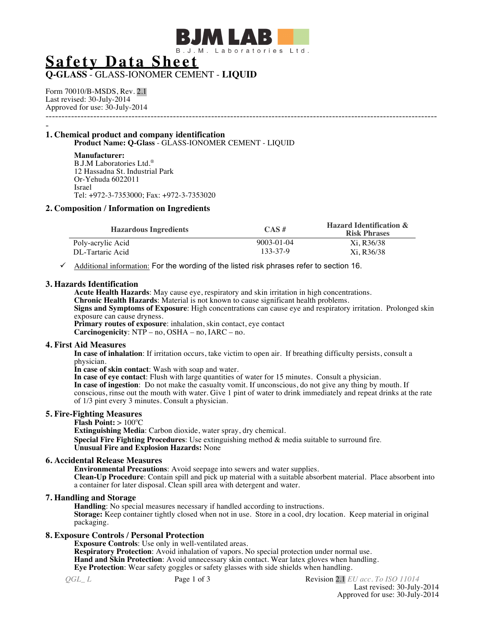

# **Safety Data Sheet**

# **Q-GLASS** - GLASS-IONOMER CEMENT - **LIQUID**

Form 70010/B-MSDS, Rev. 2.1 Last revised: 30-July-2014 Approved for use: 30-July-2014 ---------------------------------------------------------------------------------------------------------------------------

### - **1. Chemical product and company identification Product Name: Q-Glass** - GLASS-IONOMER CEMENT - LIQUID

**Manufacturer:** B.J.M Laboratories Ltd.® 12 Hassadna St. Industrial Park Or-Yehuda 6022011 Israel Tel: +972-3-7353000; Fax: +972-3-7353020

# **2. Composition / Information on Ingredients**

| <b>Hazardous Ingredients</b> | $CAS \#$         | <b>Hazard Identification &amp;</b><br><b>Risk Phrases</b> |
|------------------------------|------------------|-----------------------------------------------------------|
| Poly-acrylic Acid            | $9003 - 01 - 04$ | Xi. R36/38                                                |
| DL-Tartaric Acid             | 133-37-9         | Xi. R36/38                                                |

 $\checkmark$  Additional information: For the wording of the listed risk phrases refer to section 16.

### **3. Hazards Identification**

**Acute Health Hazards**: May cause eye, respiratory and skin irritation in high concentrations. **Chronic Health Hazards**: Material is not known to cause significant health problems. **Signs and Symptoms of Exposure**: High concentrations can cause eye and respiratory irritation. Prolonged skin exposure can cause dryness.

**Primary routes of exposure**: inhalation, skin contact, eye contact **Carcinogenicity**:  $NTP - no$ ,  $OSHA - no$ ,  $IARC - no$ .

### **4. First Aid Measures**

**In case of inhalation**: If irritation occurs, take victim to open air. If breathing difficulty persists, consult a physician.

**In case of skin contact**: Wash with soap and water.

**In case of eye contact**: Flush with large quantities of water for 15 minutes. Consult a physician. **In case of ingestion**: Do not make the casualty vomit. If unconscious, do not give any thing by mouth. If conscious, rinse out the mouth with water. Give 1 pint of water to drink immediately and repeat drinks at the rate of 1/3 pint every 3 minutes. Consult a physician.

# **5. Fire-Fighting Measures**

**Flash Point: > 100°C** 

**Extinguishing Media**: Carbon dioxide, water spray, dry chemical. **Special Fire Fighting Procedures**: Use extinguishing method & media suitable to surround fire. **Unusual Fire and Explosion Hazards:** None

# **6. Accidental Release Measures**

**Environmental Precautions**: Avoid seepage into sewers and water supplies. **Clean-Up Procedure**: Contain spill and pick up material with a suitable absorbent material. Place absorbent into a container for later disposal. Clean spill area with detergent and water.

# **7. Handling and Storage**

**Handling**: No special measures necessary if handled according to instructions. **Storage:** Keep container tightly closed when not in use. Store in a cool, dry location. Keep material in original packaging.

# **8. Exposure Controls / Personal Protection**

**Exposure Controls**: Use only in well-ventilated areas. **Respiratory Protection**: Avoid inhalation of vapors. No special protection under normal use. **Hand and Skin Protection**: Avoid unnecessary skin contact. Wear latex gloves when handling. **Eye Protection**: Wear safety goggles or safety glasses with side shields when handling.

*QGL L* **Page 1 of 3** Revision 2.1 *EU acc. To ISO 11014* Last revised: 30-July-2014 Approved for use: 30-July-2014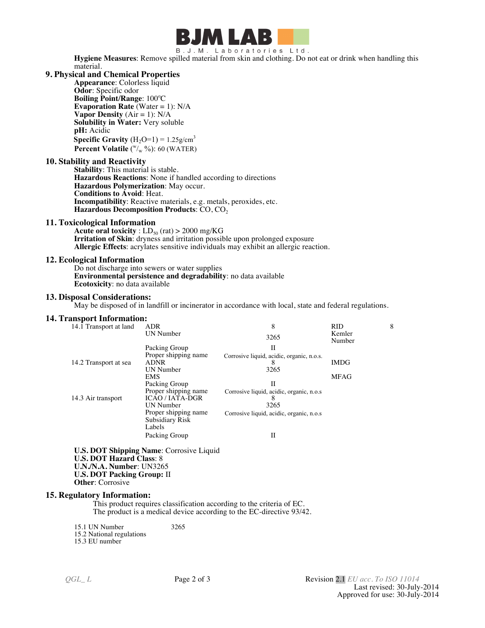

B.J.M. Laboratories Ltd.

**Hygiene Measures**: Remove spilled material from skin and clothing. Do not eat or drink when handling this material.

# **9. Physical and Chemical Properties**

**Appearance**: Colorless liquid **Odor**: Specific odor **Boiling Point/Range**: 100°C **Evaporation Rate** (Water = 1): N/A **Vapor Density**  $(Air = 1)$ :  $N/A$ **Solubility in Water:** Very soluble **pH:** Acidic **Specific Gravity**  $(H_2O=1) = 1.25g/cm^3$ **Percent Volatile** ( $\sqrt[w]{w}$ %): 60 (WATER)

### **10. Stability and Reactivity**

**Stability**: This material is stable. **Hazardous Reactions**: None if handled according to directions **Hazardous Polymerization**: May occur. **Conditions to Avoid**: Heat. **Incompatibility**: Reactive materials, e.g. metals, peroxides, etc. **Hazardous Decomposition Products**: CO, CO2

# **11. Toxicological Information**

**Acute oral toxicity** :  $LD_{50}$  (rat) > 2000 mg/KG **Irritation of Skin**: dryness and irritation possible upon prolonged exposure **Allergic Effects**: acrylates sensitive individuals may exhibit an allergic reaction.

### **12. Ecological Information**

Do not discharge into sewers or water supplies **Environmental persistence and degradability**: no data available **Ecotoxicity**: no data available

### **13. Disposal Considerations:**

May be disposed of in landfill or incinerator in accordance with local, state and federal regulations.

# **14. Transport Information:**

| 14.1 Transport at land | <b>ADR</b>           | 8                                         | <b>RID</b>       | 8 |
|------------------------|----------------------|-------------------------------------------|------------------|---|
|                        | UN Number            | 3265                                      | Kemler<br>Number |   |
|                        | Packing Group        | Н                                         |                  |   |
|                        | Proper shipping name | Corrosive liquid, acidic, organic, n.o.s. |                  |   |
| 14.2 Transport at sea  | <b>ADNR</b>          | ŏ                                         | <b>IMDG</b>      |   |
|                        | <b>UN Number</b>     | 3265                                      |                  |   |
|                        | <b>EMS</b>           |                                           | <b>MFAG</b>      |   |
|                        | Packing Group        | Н                                         |                  |   |
| 14.3 Air transport     | Proper shipping name | Corrosive liquid, acidic, organic, n.o.s  |                  |   |
|                        | <b>ICAO/IATA-DGR</b> |                                           |                  |   |
|                        | UN Number            | 3265                                      |                  |   |
|                        | Proper shipping name | Corrosive liquid, acidic, organic, n.o.s  |                  |   |
|                        | Subsidiary Risk      |                                           |                  |   |
|                        | Labels               |                                           |                  |   |
|                        | Packing Group        | П                                         |                  |   |

**U.S. DOT Shipping Name**: Corrosive Liquid **U.S. DOT Hazard Class**: 8 **U.N./N.A. Number**: UN3265 **U.S. DOT Packing Group:** II **Other**: Corrosive

#### **15. Regulatory Information:**

This product requires classification according to the criteria of EC. The product is a medical device according to the EC-directive 93/42.

15.1 UN Number 3265 15.2 National regulations

15.3 EU number